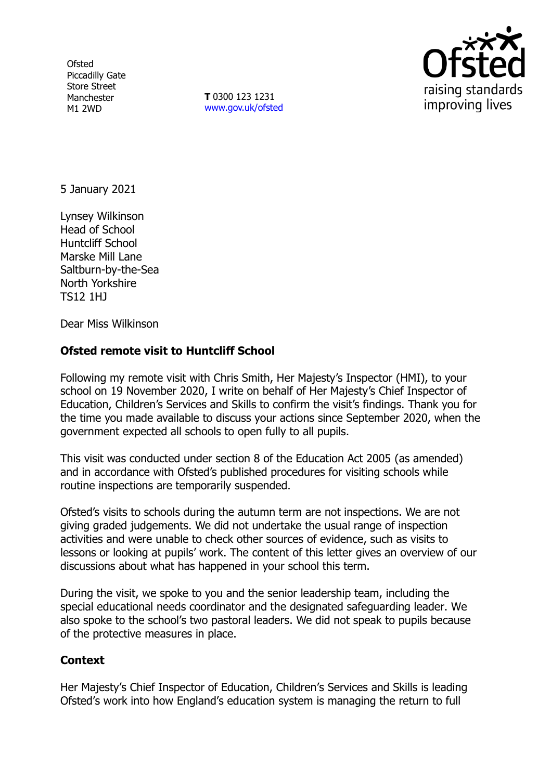**Ofsted** Piccadilly Gate Store Street Manchester M1 2WD

**T** 0300 123 1231 [www.gov.uk/ofsted](http://www.gov.uk/ofsted)



5 January 2021

Lynsey Wilkinson Head of School Huntcliff School Marske Mill Lane Saltburn-by-the-Sea North Yorkshire TS12 1HJ

Dear Miss Wilkinson

## **Ofsted remote visit to Huntcliff School**

Following my remote visit with Chris Smith, Her Majesty's Inspector (HMI), to your school on 19 November 2020, I write on behalf of Her Majesty's Chief Inspector of Education, Children's Services and Skills to confirm the visit's findings. Thank you for the time you made available to discuss your actions since September 2020, when the government expected all schools to open fully to all pupils.

This visit was conducted under section 8 of the Education Act 2005 (as amended) and in accordance with Ofsted's published procedures for visiting schools while routine inspections are temporarily suspended.

Ofsted's visits to schools during the autumn term are not inspections. We are not giving graded judgements. We did not undertake the usual range of inspection activities and were unable to check other sources of evidence, such as visits to lessons or looking at pupils' work. The content of this letter gives an overview of our discussions about what has happened in your school this term.

During the visit, we spoke to you and the senior leadership team, including the special educational needs coordinator and the designated safeguarding leader. We also spoke to the school's two pastoral leaders. We did not speak to pupils because of the protective measures in place.

## **Context**

Her Majesty's Chief Inspector of Education, Children's Services and Skills is leading Ofsted's work into how England's education system is managing the return to full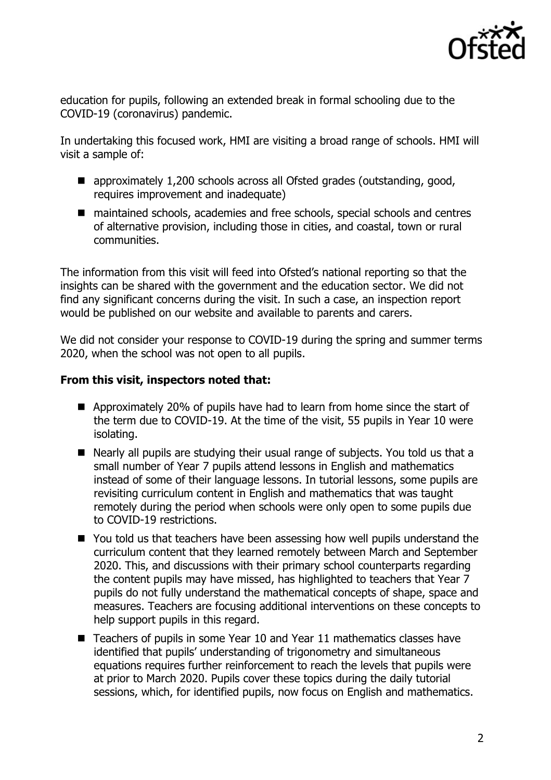

education for pupils, following an extended break in formal schooling due to the COVID-19 (coronavirus) pandemic.

In undertaking this focused work, HMI are visiting a broad range of schools. HMI will visit a sample of:

- approximately 1,200 schools across all Ofsted grades (outstanding, good, requires improvement and inadequate)
- maintained schools, academies and free schools, special schools and centres of alternative provision, including those in cities, and coastal, town or rural communities.

The information from this visit will feed into Ofsted's national reporting so that the insights can be shared with the government and the education sector. We did not find any significant concerns during the visit. In such a case, an inspection report would be published on our website and available to parents and carers.

We did not consider your response to COVID-19 during the spring and summer terms 2020, when the school was not open to all pupils.

## **From this visit, inspectors noted that:**

- **E** Approximately 20% of pupils have had to learn from home since the start of the term due to COVID-19. At the time of the visit, 55 pupils in Year 10 were isolating.
- Nearly all pupils are studying their usual range of subjects. You told us that a small number of Year 7 pupils attend lessons in English and mathematics instead of some of their language lessons. In tutorial lessons, some pupils are revisiting curriculum content in English and mathematics that was taught remotely during the period when schools were only open to some pupils due to COVID-19 restrictions.
- You told us that teachers have been assessing how well pupils understand the curriculum content that they learned remotely between March and September 2020. This, and discussions with their primary school counterparts regarding the content pupils may have missed, has highlighted to teachers that Year 7 pupils do not fully understand the mathematical concepts of shape, space and measures. Teachers are focusing additional interventions on these concepts to help support pupils in this regard.
- Teachers of pupils in some Year 10 and Year 11 mathematics classes have identified that pupils' understanding of trigonometry and simultaneous equations requires further reinforcement to reach the levels that pupils were at prior to March 2020. Pupils cover these topics during the daily tutorial sessions, which, for identified pupils, now focus on English and mathematics.